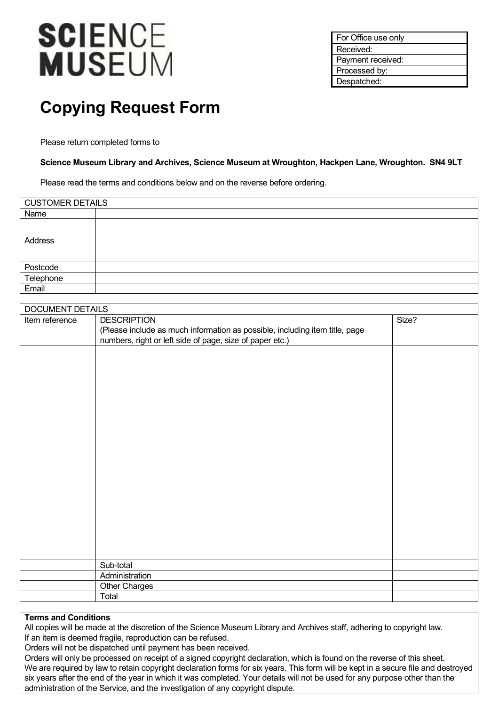# **SCIENCE MUSEUM**

For Office use only Received: Payment received: Processed by: Despatched:

## **Copying Request Form**

Please return completed forms to

#### **Science Museum Library and Archives, Science Museum at Wroughton, Hackpen Lane, Wroughton. SN4 9LT**

Please read the terms and conditions below and on the reverse before ordering.

| <b>CUSTOMER DETAILS</b> |  |  |
|-------------------------|--|--|
| Name                    |  |  |
| Address                 |  |  |
| Postcode                |  |  |
| Telephone               |  |  |
| Email                   |  |  |

| DOCUMENT DETAILS |                                                                             |       |  |  |
|------------------|-----------------------------------------------------------------------------|-------|--|--|
| Item reference   | <b>DESCRIPTION</b>                                                          | Size? |  |  |
|                  | (Please include as much information as possible, including item title, page |       |  |  |
|                  | numbers, right or left side of page, size of paper etc.)                    |       |  |  |
|                  |                                                                             |       |  |  |
|                  |                                                                             |       |  |  |
|                  |                                                                             |       |  |  |
|                  |                                                                             |       |  |  |
|                  |                                                                             |       |  |  |
|                  |                                                                             |       |  |  |
|                  |                                                                             |       |  |  |
|                  |                                                                             |       |  |  |
|                  |                                                                             |       |  |  |
|                  |                                                                             |       |  |  |
|                  |                                                                             |       |  |  |
|                  |                                                                             |       |  |  |
|                  |                                                                             |       |  |  |
|                  |                                                                             |       |  |  |
|                  |                                                                             |       |  |  |
|                  |                                                                             |       |  |  |
|                  |                                                                             |       |  |  |
|                  |                                                                             |       |  |  |
|                  |                                                                             |       |  |  |
|                  |                                                                             |       |  |  |
|                  | Sub-total                                                                   |       |  |  |
|                  | Administration                                                              |       |  |  |
|                  | Other Charges                                                               |       |  |  |
|                  | Total                                                                       |       |  |  |
|                  |                                                                             |       |  |  |

#### **Terms and Conditions**

All copies will be made at the discretion of the Science Museum Library and Archives staff, adhering to copyright law. If an item is deemed fragile, reproduction can be refused.

Orders will not be dispatched until payment has been received.

Orders will only be processed on receipt of a signed copyright declaration, which is found on the reverse of this sheet. We are required by law to retain copyright declaration forms for six years. This form will be kept in a secure file and destroyed six years after the end of the year in which it was completed. Your details will not be used for any purpose other than the administration of the Service, and the investigation of any copyright dispute.